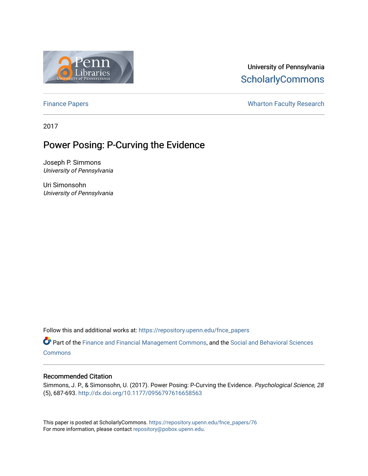

## University of Pennsylvania **ScholarlyCommons**

[Finance Papers](https://repository.upenn.edu/fnce_papers) **Exercise Exercise Servers** Wharton Faculty Research

2017

# Power Posing: P-Curving the Evidence

Joseph P. Simmons University of Pennsylvania

Uri Simonsohn University of Pennsylvania

Follow this and additional works at: [https://repository.upenn.edu/fnce\\_papers](https://repository.upenn.edu/fnce_papers?utm_source=repository.upenn.edu%2Ffnce_papers%2F76&utm_medium=PDF&utm_campaign=PDFCoverPages)

Part of the [Finance and Financial Management Commons,](http://network.bepress.com/hgg/discipline/631?utm_source=repository.upenn.edu%2Ffnce_papers%2F76&utm_medium=PDF&utm_campaign=PDFCoverPages) and the [Social and Behavioral Sciences](http://network.bepress.com/hgg/discipline/316?utm_source=repository.upenn.edu%2Ffnce_papers%2F76&utm_medium=PDF&utm_campaign=PDFCoverPages) **[Commons](http://network.bepress.com/hgg/discipline/316?utm_source=repository.upenn.edu%2Ffnce_papers%2F76&utm_medium=PDF&utm_campaign=PDFCoverPages)** 

## Recommended Citation

Simmons, J. P., & Simonsohn, U. (2017). Power Posing: P-Curving the Evidence. Psychological Science, 28 (5), 687-693. <http://dx.doi.org/10.1177/0956797616658563>

This paper is posted at ScholarlyCommons. [https://repository.upenn.edu/fnce\\_papers/76](https://repository.upenn.edu/fnce_papers/76)  For more information, please contact [repository@pobox.upenn.edu.](mailto:repository@pobox.upenn.edu)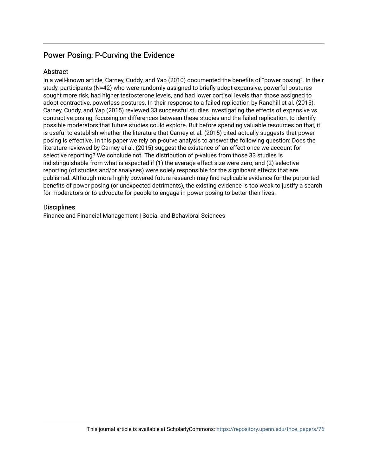## Power Posing: P-Curving the Evidence

## **Abstract**

In a well-known article, Carney, Cuddy, and Yap (2010) documented the benefits of "power posing". In their study, participants (N=42) who were randomly assigned to briefly adopt expansive, powerful postures sought more risk, had higher testosterone levels, and had lower cortisol levels than those assigned to adopt contractive, powerless postures. In their response to a failed replication by Ranehill et al. (2015), Carney, Cuddy, and Yap (2015) reviewed 33 successful studies investigating the effects of expansive vs. contractive posing, focusing on differences between these studies and the failed replication, to identify possible moderators that future studies could explore. But before spending valuable resources on that, it is useful to establish whether the literature that Carney et al. (2015) cited actually suggests that power posing is effective. In this paper we rely on p-curve analysis to answer the following question: Does the literature reviewed by Carney et al. (2015) suggest the existence of an effect once we account for selective reporting? We conclude not. The distribution of p-values from those 33 studies is indistinguishable from what is expected if (1) the average effect size were zero, and (2) selective reporting (of studies and/or analyses) were solely responsible for the significant effects that are published. Although more highly powered future research may find replicable evidence for the purported benefits of power posing (or unexpected detriments), the existing evidence is too weak to justify a search for moderators or to advocate for people to engage in power posing to better their lives.

## **Disciplines**

Finance and Financial Management | Social and Behavioral Sciences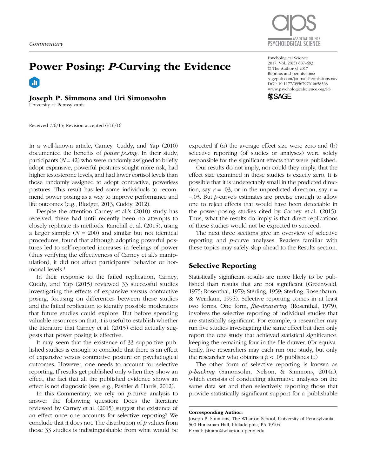

Psychological Science 2017, Vol. 28(5) 687–693 © The Author(s) 2017 Reprints and permissions: [sagepub.com/journalsPermissions.nav](http://sagepub.com/journalsPermissions.nav) [www.psychologicalscience.org/PS](http://www.psychologicalscience.org/ps)

**SSAGE** 

DOI: 10.1177/0956797616658563

# Power Posing: *P*-Curving the Evidence  $\mathbf{H}$

## Joseph P. Simmons and Uri Simonsohn

University of Pennsylvania

Received 7/6/15; Revision accepted 6/16/16

In a well-known article, Carney, Cuddy, and Yap (2010) documented the benefits of *power posing*. In their study, participants  $(N = 42)$  who were randomly assigned to briefly adopt expansive, powerful postures sought more risk, had higher testosterone levels, and had lower cortisol levels than those randomly assigned to adopt contractive, powerless postures. This result has led some individuals to recommend power posing as a way to improve performance and life outcomes (e.g., Blodget, 2013; Cuddy, 2012).

Despite the attention Carney et al.'s (2010) study has received, there had until recently been no attempts to closely replicate its methods. Ranehill et al. (2015), using a larger sample (*N* = 200) and similar but not identical procedures, found that although adopting powerful postures led to self-reported increases in feelings of power (thus verifying the effectiveness of Carney et al.'s manipulation), it did not affect participants' behavior or hormonal levels.<sup>1</sup>

In their response to the failed replication, Carney, Cuddy, and Yap (2015) reviewed 33 successful studies investigating the effects of expansive versus contractive posing, focusing on differences between these studies and the failed replication to identify possible moderators that future studies could explore. But before spending valuable resources on that, it is useful to establish whether the literature that Carney et al. (2015) cited actually suggests that power posing is effective.

It may seem that the existence of 33 supportive published studies is enough to conclude that there is an effect of expansive versus contractive posture on psychological outcomes. However, one needs to account for selective reporting. If results get published only when they show an effect, the fact that all the published evidence shows an effect is not diagnostic (see, e.g., Pashler & Harris, 2012).

In this Commentary, we rely on *p*-curve analysis to answer the following question: Does the literature reviewed by Carney et al. (2015) suggest the existence of an effect once one accounts for selective reporting? We conclude that it does not. The distribution of *p* values from those 33 studies is indistinguishable from what would be

expected if (a) the average effect size were zero and (b) selective reporting (of studies or analyses) were solely responsible for the significant effects that were published.

Our results do not imply, nor could they imply, that the effect size examined in these studies is exactly zero. It is possible that it is undetectably small in the predicted direction, say  $r = .03$ , or in the unpredicted direction, say  $r =$ −.03. But *p*-curve's estimates are precise enough to allow one to reject effects that would have been detectable in the power-posing studies cited by Carney et al. (2015). Thus, what the results do imply is that direct replications of these studies would not be expected to succeed.

The next three sections give an overview of selective reporting and *p*-curve analyses. Readers familiar with these topics may safely skip ahead to the Results section.

#### Selective Reporting

Statistically significant results are more likely to be published than results that are not significant (Greenwald, 1975; Rosenthal, 1979; Sterling, 1959; Sterling, Rosenbaum, & Weinkam, 1995). Selective reporting comes in at least two forms. One form, *file-drawering* (Rosenthal, 1979), involves the selective reporting of individual studies that are statistically significant. For example, a researcher may run five studies investigating the same effect but then only report the one study that achieved statistical significance, keeping the remaining four in the file drawer. (Or equivalently, five researchers may each run one study, but only the researcher who obtains a  $p < .05$  publishes it.)

The other form of selective reporting is known as *p-hacking* (Simonsohn, Nelson, & Simmons, 2014a), which consists of conducting alternative analyses on the same data set and then selectively reporting those that provide statistically significant support for a publishable

Corresponding Author:

Joseph P. Simmons, The Wharton School, University of Pennsylvania, 500 Huntsman Hall, Philadelphia, PA 19104 E-mail: jsimmo@wharton.upenn.edu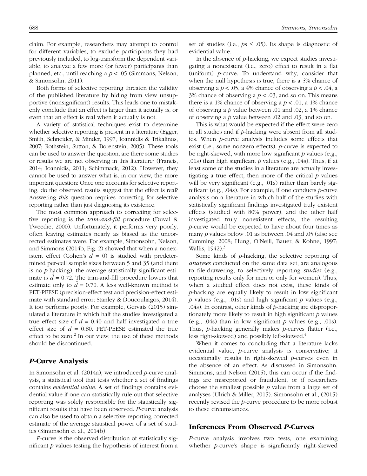claim. For example, researchers may attempt to control for different variables, to exclude participants they had previously included, to log-transform the dependent variable, to analyze a few more (or fewer) participants than planned, etc., until reaching a *p* < .05 (Simmons, Nelson, & Simonsohn, 2011).

Both forms of selective reporting threaten the validity of the published literature by hiding from view unsupportive (nonsignificant) results. This leads one to mistakenly conclude that an effect is larger than it actually is, or even that an effect is real when it actually is not.

A variety of statistical techniques exist to determine whether selective reporting is present in a literature (Egger, Smith, Schneider, & Minder, 1997; Ioannidis & Trikalinos, 2007; Rothstein, Sutton, & Borenstein, 2005). These tools can be used to answer the question, are there some studies or results we are not observing in this literature? (Francis, 2014; Ioannidis, 2011; Schimmack, 2012). However, they cannot be used to answer what is, in our view, the more important question: Once one accounts for selective reporting, do the observed results suggest that the effect is real? Answering *this* question requires correcting for selective reporting rather than just diagnosing its existence.

The most common approach to correcting for selective reporting is the *trim-and-fill* procedure (Duval & Tweedie, 2000). Unfortunately, it performs very poorly, often leaving estimates nearly as biased as the uncorrected estimates were. For example, Simonsohn, Nelson, and Simmons (2014b, Fig. 2) showed that when a nonexistent effect (Cohen's  $d = 0$ ) is studied with predetermined per-cell sample sizes between 5 and 35 (and there is no *p*-hacking), the average statistically significant estimate is  $\hat{d} = 0.72$ . The trim-and-fill procedure lowers that estimate only to  $\hat{d} = 0.70$ . A less well-known method is PET-PEESE (precision-effect test and precision-effect estimate with standard error; Stanley & Doucouliagos, 2014). It too performs poorly. For example, Gervais (2015) simulated a literature in which half the studies investigated a true effect size of  $d = 0.40$  and half investigated a true effect size of  $d = 0.80$ . PET-PEESE estimated the true effect to be zero. $2 \text{ In our view, the use of these methods}$ should be discontinued.

#### *P*-Curve Analysis

In Simonsohn et al. (2014a), we introduced *p*-curve analysis, a statistical tool that tests whether a set of findings contains *evidential value*. A set of findings contains evidential value if one can statistically rule out that selective reporting was solely responsible for the statistically significant results that have been observed. *P*-curve analysis can also be used to obtain a selective-reporting-corrected estimate of the average statistical power of a set of studies (Simonsohn et al., 2014b).

*P-*curve is the observed distribution of statistically significant *p* values testing the hypothesis of interest from a set of studies (i.e.,  $ps \leq .05$ ). Its shape is diagnostic of evidential value.

In the absence of *p*-hacking, we expect studies investigating a nonexistent (i.e., zero) effect to result in a flat (uniform) *p*-curve. To understand why, consider that when the null hypothesis is true, there is a 5% chance of observing a  $p < .05$ , a 4% chance of observing a  $p < .04$ , a 3% chance of observing a  $p < .03$ , and so on. This means there is a 1% chance of observing a  $p < .01$ , a 1% chance of observing a *p* value between .01 and .02, a 1% chance of observing a *p* value between .02 and .03, and so on.

This is what would be expected if the effect were zero in all studies and if *p*-hacking were absent from all studies. When *p*-curve analysis includes some effects that exist (i.e., some nonzero effects), *p*-curve is expected to be right-skewed, with more low significant *p* values (e.g., .01s) than high significant *p* values (e.g., .04s). Thus, if at least some of the studies in a literature are actually investigating a true effect, then more of the critical *p* values will be very significant (e.g., .01s) rather than barely significant (e.g., .04s). For example, if one conducts *p*-curve analysis on a literature in which half of the studies with statistically significant findings investigated truly existent effects (studied with 80% power), and the other half investigated truly nonexistent effects, the resulting *p*-curve would be expected to have about four times as many *p* values below .01 as between .04 and .05 (also see Cumming, 2008; Hung, O'Neill, Bauer, & Kohne, 1997; Wallis, 1942).<sup>3</sup>

Some kinds of *p*-hacking, the selective reporting of *analyses* conducted on the same data set, are analogous to file-drawering, to selectively reporting *studies* (e.g., reporting results only for men or only for women). Thus, when a studied effect does not exist, these kinds of *p*-hacking are equally likely to result in low significant *p* values (e.g., .01s) and high significant *p* values (e.g., .04s). In contrast, other kinds of *p*-hacking are disproportionately more likely to result in high significant *p* values (e.g., .04s) than in low significant *p* values (e.g., .01s). Thus, *p*-hacking generally makes *p*-curves flatter (i.e., less right-skewed) and possibly left-skewed.<sup>4</sup>

When it comes to concluding that a literature lacks evidential value, *p*-curve analysis is conservative; it occasionally results in right-skewed *p*-curves even in the absence of an effect. As discussed in Simonsohn, Simmons, and Nelson (2015), this can occur if the findings are misreported or fraudulent, or if researchers choose the smallest possible *p* value from a large set of analyses (Ulrich & Miller, 2015). Simonsohn et al., (2015) recently revised the *p*-curve procedure to be more robust to these circumstances.

#### Inferences From Observed *P*-Curves

*P*-curve analysis involves two tests, one examining whether *p*-curve's shape is significantly right-skewed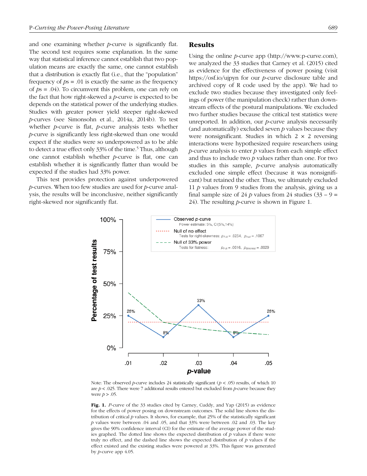and one examining whether *p*-curve is significantly flat. The second test requires some explanation. In the same way that statistical inference cannot establish that two population means are exactly the same, one cannot establish that a distribution is exactly flat (i.e., that the "population" frequency of *p*s = .01 is exactly the same as the frequency of *p*s = .04). To circumvent this problem, one can rely on the fact that how right-skewed a *p*-curve is expected to be depends on the statistical power of the underlying studies. Studies with greater power yield steeper right-skewed *p*-curves (see Simonsohn et al., 2014a, 2014b). To test whether *p*-curve is flat, *p*-curve analysis tests whether *p*-curve is significantly less right-skewed than one would expect if the studies were so underpowered as to be able to detect a true effect only 33% of the time.<sup>5</sup> Thus, although one cannot establish whether *p*-curve is flat, one can establish whether it is significantly flatter than would be expected if the studies had 33% power.

This test provides protection against underpowered *p*-curves. When too few studies are used for *p*-curve analysis, the results will be inconclusive, neither significantly right-skewed nor significantly flat.

#### Results

Using the online *p*-curve app (http://www.p*-*curve.com), we analyzed the 33 studies that Carney et al. (2015) cited as evidence for the effectiveness of power posing (visit https://osf.io/ujpyn for our *p-*curve disclosure table and archived copy of R code used by the app). We had to exclude two studies because they investigated only feelings of power (the manipulation check) rather than downstream effects of the postural manipulations. We excluded two further studies because the critical test statistics were unreported. In addition, our *p*-curve analysis necessarily (and automatically) excluded seven *p* values because they were nonsignificant. Studies in which  $2 \times 2$  reversing interactions were hypothesized require researchers using *p*-curve analysis to enter *p* values from each simple effect and thus to include two *p* values rather than one. For two studies in this sample, *p*-curve analysis automatically excluded one simple effect (because it was nonsignificant) but retained the other. Thus, we ultimately excluded 11 *p* values from 9 studies from the analysis, giving us a final sample size of 24 *p* values from 24 studies  $(33 - 9)$  = 24). The resulting *p*-curve is shown in Figure 1.



Note: The observed *p*-curve includes 24 statistically significant ( $p < .05$ ) results, of which 10 are  $p < .025$ . There were 7 additional results entered but excluded from  $p$ -curve because they were *p* > .05.

Fig. 1. *P*-curve of the 33 studies cited by Carney, Cuddy, and Yap (2015) as evidence for the effects of power posing on downstream outcomes. The solid line shows the distribution of critical *p* values. It shows, for example, that 25% of the statistically significant *p* values were between .04 and .05, and that 33% were between .02 and .03. The key gives the 90% confidence interval (CI) for the estimate of the average power of the studies graphed. The dotted line shows the expected distribution of *p* values if there were truly no effect, and the dashed line shows the expected distribution of *p* values if the effect existed and the existing studies were powered at 33%. This figure was generated by *p*-curve app 4.05.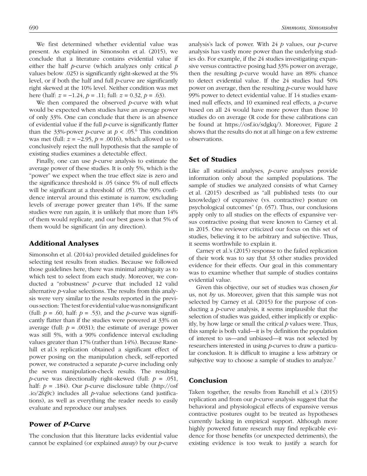We first determined whether evidential value was present. As explained in Simonsohn et al. (2015), we conclude that a literature contains evidential value if either the half *p*-curve (which analyzes only critical *p* values below .025) is significantly right-skewed at the 5% level, or if both the half and full *p*-curve are significantly right skewed at the 10% level. Neither condition was met here (half: *z* = −1.24, *p* = .11; full: *z* = 0.32, *p* = .63).

We then compared the observed *p*-curve with what would be expected when studies have an average power of only 33%. One can conclude that there is an absence of evidential value if the full *p*-curve is significantly flatter than the 33%-power *p*-curve at  $p < .05$ .<sup>6</sup> This condition was met (full: *z* = −2.95, *p* = .0016), which allowed us to conclusively reject the null hypothesis that the sample of existing studies examines a detectable effect.

Finally, one can use *p*-curve analysis to estimate the average power of these studies. It is only 5%, which is the "power" we expect when the true effect size is zero and the significance threshold is .05 (since 5% of null effects will be significant at a threshold of .05). The 90% confidence interval around this estimate is narrow, excluding levels of average power greater than 14%. If the same studies were run again, it is unlikely that more than 14% of them would replicate, and our best guess is that 5% of them would be significant (in any direction).

#### Additional Analyses

Simonsohn et al. (2014a) provided detailed guidelines for selecting test results from studies. Because we followed those guidelines here, there was minimal ambiguity as to which test to select from each study. Moreover, we conducted a "robustness" *p*-curve that included 12 valid alternative *p-*value selections. The results from this analysis were very similar to the results reported in the previous section: The test for evidential value was nonsignificant (full:  $p = .60$ , half:  $p = .53$ ), and the *p*-curve was significantly flatter than if the studies were powered at 33% on average (full:  $p = .0031$ ); the estimate of average power was still 5%, with a 90% confidence interval excluding values greater than 17% (rather than 14%). Because Ranehill et al.'s replication obtained a significant effect of power posing on the manipulation check, self-reported power, we constructed a separate *p*-curve including only the seven manipulation-check results. The resulting *p*-curve was directionally right-skewed (full: *p* = .051, half: *p* = .184). Our *p*-curve disclosure table (http://osf .io/2fq9c) includes all *p*-value selections (and justifications), as well as everything the reader needs to easily evaluate and reproduce our analyses.

### Power of *P*-Curve

The conclusion that this literature lacks evidential value cannot be explained (or explained *away*) by our *p*-curve analysis's lack of power. With 24 *p* values, our *p*-curve analysis has vastly more power than the underlying studies do. For example, if the 24 studies investigating expansive versus contractive posing had 33% power on average, then the resulting *p*-curve would have an 89% chance to detect evidential value. If the 24 studies had 50% power on average, then the resulting *p*-curve would have 99% power to detect evidential value. If 14 studies examined null effects, and 10 examined real effects, a *p*-curve based on all 24 would have more power than those 10 studies do on average (R code for these calibrations can be found at https://osf.io/sdgkq/). Moreover, Figure 2 shows that the results do not at all hinge on a few extreme observations.

### Set of Studies

Like all statistical analyses, *p*-curve analyses provide information only about the sampled populations. The sample of studies we analyzed consists of what Carney et al. (2015) described as "all published tests (to our knowledge) of expansive (vs. contractive) posture on psychological outcomes" (p. 657). Thus, our conclusions apply only to all studies on the effects of expansive versus contractive posing that were known to Carney et al. in 2015. One reviewer criticized our focus on this set of studies, believing it to be arbitrary and subjective. Thus, it seems worthwhile to explain it.

Carney et al.'s (2015) response to the failed replication of their work was to say that 33 other studies provided evidence for their effects. Our goal in this commentary was to examine whether that sample of studies contains evidential value.

Given this objective, our set of studies was chosen *for* us, not *by* us. Moreover, given that this sample was not selected by Carney et al. (2015) for the purpose of conducting a *p*-curve analysis, it seems implausible that the selection of studies was guided, either implicitly or explicitly, by how large or small the critical *p* values were. Thus, this sample is both valid—it is by definition the population of interest to us—and unbiased—it was not selected by researchers interested in using *p*-curves to draw a particular conclusion. It is difficult to imagine a less arbitrary or subjective way to choose a sample of studies to analyze.<sup>7</sup>

#### Conclusion

Taken together, the results from Ranehill et al.'s (2015) replication and from our *p-*curve analysis suggest that the behavioral and physiological effects of expansive versus contractive postures ought to be treated as hypotheses currently lacking in empirical support. Although more highly powered future research may find replicable evidence for those benefits (or unexpected detriments), the existing evidence is too weak to justify a search for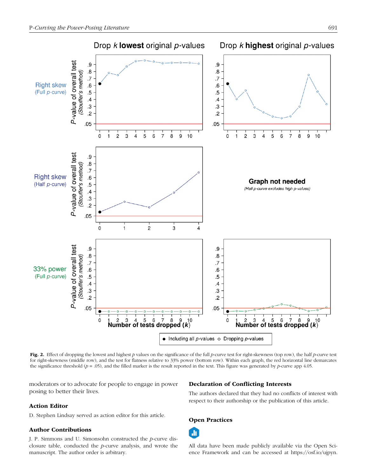

Fig. 2. Effect of dropping the lowest and highest *p* values on the significance of the full *p-*curve test for right-skewness (top row), the half *p-*curve test for right-skewness (middle row), and the test for flatness relative to 33% power (bottom row). Within each graph, the red horizontal line demarcates the significance threshold (*p* = .05), and the filled marker is the result reported in the text. This figure was generated by *p*-curve app 4.05.

moderators or to advocate for people to engage in power posing to better their lives.

#### Action Editor

D. Stephen Lindsay served as action editor for this article.

#### Author Contributions

J. P. Simmons and U. Simonsohn constructed the *p*-curve disclosure table, conducted the *p*-curve analysis, and wrote the manuscript. The author order is arbitrary.

#### Declaration of Conflicting Interests

The authors declared that they had no conflicts of interest with respect to their authorship or the publication of this article.

#### Open Practices



All data have been made publicly available via the Open Science Framework and can be accessed at https://osf.io/ujpyn.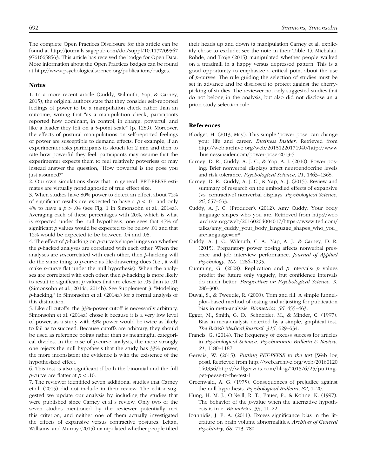The complete Open Practices Disclosure for this article can be found at http://journals.sagepub.com/doi/suppl/10.1177/09567 97616658563. This article has received the badge for Open Data. More information about the Open Practices badges can be found at http://www.psychologicalscience.org/publications/badges.

#### Notes

1. In a more recent article (Cuddy, Wilmuth, Yap, & Carney, 2015), the original authors state that they consider self-reported feelings of power to be a manipulation check rather than an outcome, writing that "as a manipulation check, participants reported how dominant, in control, in charge, powerful, and like a leader they felt on a 5-point scale" (p. 1289). Moreover, the effects of postural manipulations on self-reported feelings of power are susceptible to demand effects. For example, if an experimenter asks participants to slouch for 2 min and then to rate how powerful they feel, participants may assume that the experimenter expects them to feel relatively powerless or may instead answer the question, "How powerful is the pose you just assumed?"

2. Our own simulations show that, in general, PET-PEESE estimates are virtually nondiagnostic of true effect size.

3. When studies have 80% power to detect an effect, about 72% of significant results are expected to have a  $p < .01$  and only 4% to have a *p* > .04 (see Fig. 1 in Simonsohn et al., 2014a). Averaging each of these percentages with 20%, which is what is expected under the null hypothesis, one sees that 47% of significant *p* values would be expected to be below .01 and that 12% would be expected to be between .04 and .05.

4. The effect of *p*-hacking on *p*-curve's shape hinges on whether the *p*-hacked analyses are correlated with each other. When the analyses are *un*correlated with each other, then *p*-hacking will do the same thing to *p*-curve as file-drawering does (i.e., it will make *p*-curve flat under the null hypothesis). When the analyses are correlated with each other, then *p*-hacking is more likely to result in significant *p* values that are closer to .05 than to .01 (Simonsohn et al., 2014a, 2014b). See Supplement 3, "Modeling *p*-hacking," in Simonsohn et al. (2014a) for a formal analysis of this distinction.

5. Like all cutoffs, the 33%-power cutoff is necessarily arbitrary. Simonsohn et al. (2014a) chose it because it is a very low level of power, as a study with 33% power would be twice as likely to fail as to succeed. Because cutoffs are arbitrary, they should be used as reference points rather than as meaningful categorical divides. In the case of *p*-curve analysis, the more strongly one rejects the null hypothesis that the study has 33% power, the more inconsistent the evidence is with the existence of the hypothesized effect.

6. This test is also significant if both the binomial and the full *p*-curve are flatter at *p* < .10.

7. The reviewer identified seven additional studies that Carney et al. (2015) did not include in their review. The editor suggested we update our analysis by including the studies that were published since Carney et al.'s review. Only two of the seven studies mentioned by the reviewer potentially met this criterion, and neither one of them actually investigated the effects of expansive versus contractive postures. Leitan, Williams, and Murray (2015) manipulated whether people tilted

their heads up and down (a manipulation Carney et al. explicitly chose to exclude; see the note in their Table 1). Michalak, Rohde, and Troje (2015) manipulated whether people walked on a treadmill in a happy versus depressed pattern. This is a good opportunity to emphasize a critical point about the use of *p*-curves: The rule guiding the selection of studies must be set in advance and be disclosed to protect against the cherrypicking of studies. The reviewer not only suggested studies that do not belong in the analysis, but also did not disclose an a priori study-selection rule.

#### References

- Blodget, H. (2013, May). This simple 'power pose' can change your life and career. *Business Insider*. Retrieved from http://web.archive.org/web/20151220171940/http://www .businessinsider.com/power-pose-2013-5
- Carney, D. R., Cuddy, A. J. C., & Yap, A. J. (2010). Power posing: Brief nonverbal displays affect neuroendocrine levels and risk tolerance. *Psychological Science*, *21*, 1363–1368.
- Carney, D. R., Cuddy, A. J. C., & Yap, A. J. (2015). Review and summary of research on the embodied effects of expansive (vs. contractive) nonverbal displays. *Psychological Science*, *26*, 657–663.
- Cuddy, A. J. C. (Producer). (2012). Amy Cuddy: Your body language shapes who you are. Retrieved from http://web .archive.org/web/20160204004017/https://www.ted.com/ talks/amy\_cuddy\_your\_body\_language\_shapes\_who\_you\_ are?language=en#
- Cuddy, A. J. C., Wilmuth, C. A., Yap, A. J., & Carney, D. R. (2015). Preparatory power posing affects nonverbal presence and job interview performance. *Journal of Applied Psychology*, *100*, 1286–1295.
- Cumming, G. (2008). Replication and *p* intervals: *p* values predict the future only vaguely, but confidence intervals do much better. *Perspectives on Psychological Science*, *3*, 286–300.
- Duval, S., & Tweedie, R. (2000). Trim and fill: A simple funnelplot–based method of testing and adjusting for publication bias in meta-analysis. *Biometrics*, *56*, 455–463.
- Egger, M., Smith, G. D., Schneider, M., & Minder, C. (1997). Bias in meta-analysis detected by a simple, graphical test. *The British Medical Journal*, *315*, 629–634.
- Francis, G. (2014). The frequency of excess success for articles in *Psychological Science*. *Psychonomic Bulletin & Review*, *21*, 1180–1187.
- Gervais, W. (2015). *Putting PET-PEESE to the test* [Web log post]. Retrieved from http://web.archive.org/web/20160120 140336/http://willgervais.com/blog/2015/6/25/puttingpet-peese-to-the-test-1
- Greenwald, A. G. (1975). Consequences of prejudice against the null hypothesis. *Psychological Bulletin*, *82*, 1–20.
- Hung, H. M. J., O'Neill, R. T., Bauer, P., & Kohne, K. (1997). The behavior of the *p*-value when the alternative hypothesis is true. *Biometrics*, *53*, 11–22.
- Ioannidis, J. P. A. (2011). Excess significance bias in the literature on brain volume abnormalities. *Archives of General Psychiatry*, *68*, 773–780.